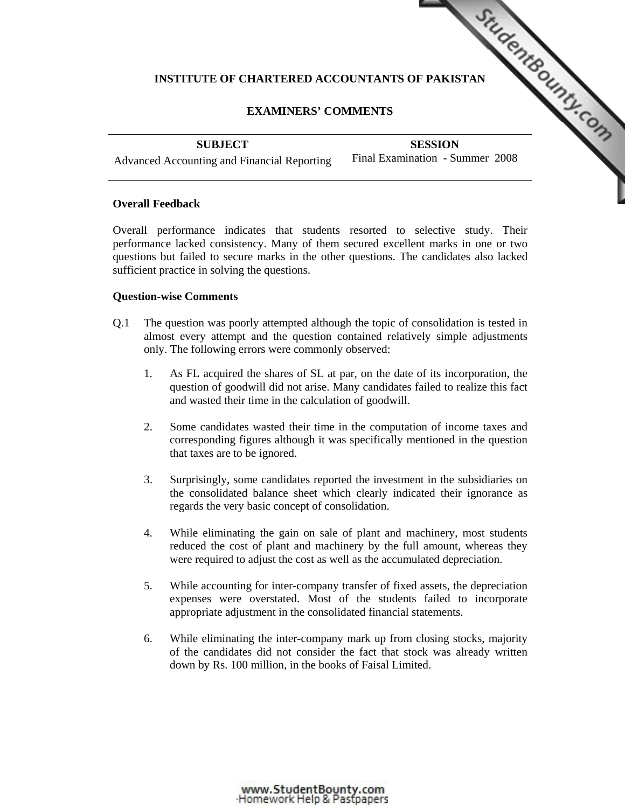# INSTITUTE OF CHARTERED ACCOUNTANTS OF PAKISTAN **FOULD IN THE CONDUCTS**

# **EXAMINERS' COMMENTS**

**SUBJECT** 

**SESSION**  Final Examin[ation - Summer 2008](http://www.studentbounty.com/)

Advanced Accounting and Financial Reporting

## **Overall Feedback**

Overall performance indicates that students resorted to selective study. Their performance lacked consistency. Many of them secured excellent marks in one or two questions but failed to secure marks in the other questions. The candidates also lacked sufficient practice in solving the questions.

## **Question-wise Comments**

- Q.1 The question was poorly attempted although the topic of consolidation is tested in almost every attempt and the question contained relatively simple adjustments only. The following errors were commonly observed:
	- 1. As FL acquired the shares of SL at par, on the date of its incorporation, the question of goodwill did not arise. Many candidates failed to realize this fact and wasted their time in the calculation of goodwill.
	- 2. Some candidates wasted their time in the computation of income taxes and corresponding figures although it was specifically mentioned in the question that taxes are to be ignored.
	- 3. Surprisingly, some candidates reported the investment in the subsidiaries on the consolidated balance sheet which clearly indicated their ignorance as regards the very basic concept of consolidation.
	- 4. While eliminating the gain on sale of plant and machinery, most students reduced the cost of plant and machinery by the full amount, whereas they were required to adjust the cost as well as the accumulated depreciation.
	- 5. While accounting for inter-company transfer of fixed assets, the depreciation expenses were overstated. Most of the students failed to incorporate appropriate adjustment in the consolidated financial statements.
	- 6. While eliminating the inter-company mark up from closing stocks, majority of the candidates did not consider the fact that stock was already written down by Rs. 100 million, in the books of Faisal Limited.

www.StudentBounty.com<br>Homework Help & Pastpapers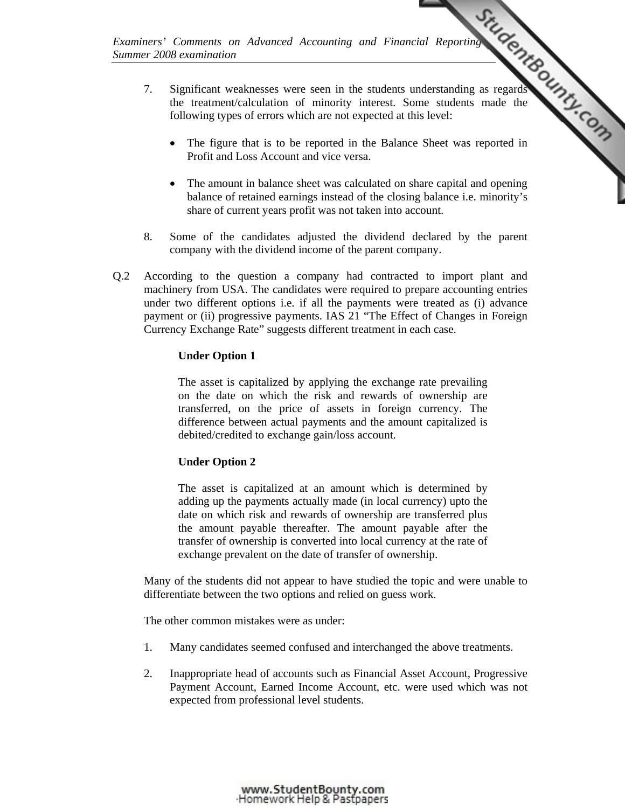*Summer 2008 examination* 

- *Examiners' Comments on Advanced Accounting and Financial Reporting*  7. Significant weaknesses were seen in the students understanding as regards the treatment/calculation of minority interest. Some students made the following types of errors which are not expected at this level:
	- The figure that is to be reported in the Balance Sheet was reported in Profit and Loss Account and vice versa.
	- The amount in balance sheet was calculated on share capital and opening balance of retained earnings instead of the closin[g balance i.e. minority's](http://www.studentbounty.com/)  share of current years profit was not taken into account.
	- 8. Some of the candidates adjusted the dividend declared by the parent company with the dividend income of the parent company.
- Q.2 According to the question a company had contracted to import plant and machinery from USA. The candidates were required to prepare accounting entries under two different options i.e. if all the payments were treated as (i) advance payment or (ii) progressive payments. IAS 21 "The Effect of Changes in Foreign Currency Exchange Rate" suggests different treatment in each case.

## **Under Option 1**

The asset is capitalized by applying the exchange rate prevailing on the date on which the risk and rewards of ownership are transferred, on the price of assets in foreign currency. The difference between actual payments and the amount capitalized is debited/credited to exchange gain/loss account.

## **Under Option 2**

The asset is capitalized at an amount which is determined by adding up the payments actually made (in local currency) upto the date on which risk and rewards of ownership are transferred plus the amount payable thereafter. The amount payable after the transfer of ownership is converted into local currency at the rate of exchange prevalent on the date of transfer of ownership.

Many of the students did not appear to have studied the topic and were unable to differentiate between the two options and relied on guess work.

The other common mistakes were as under:

- 1. Many candidates seemed confused and interchanged the above treatments.
- 2. Inappropriate head of accounts such as Financial Asset Account, Progressive Payment Account, Earned Income Account, etc. were used which was not expected from professional level students.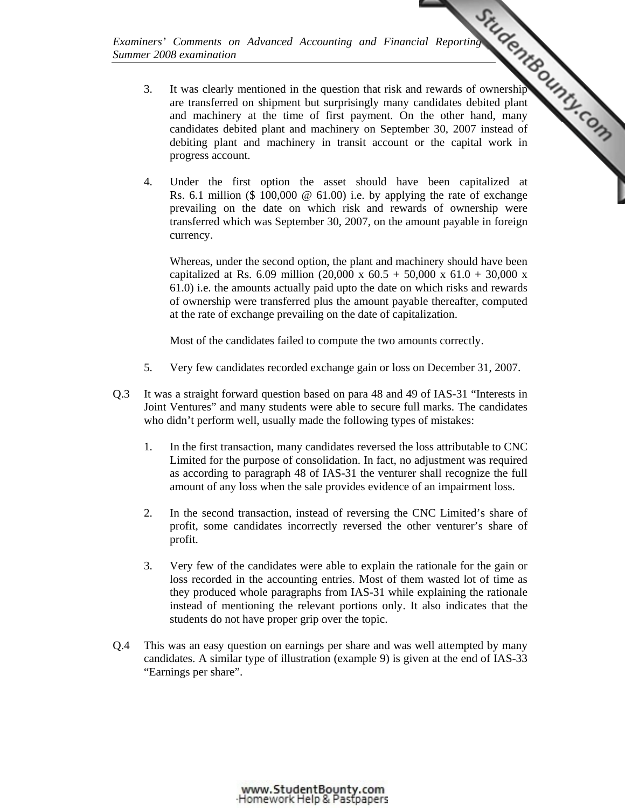*Summer 2008 examination* 

- *Examiners' Comments on Advanced Accounting and Financial Reporting*<br>
<sup>1</sup> in the question that risk and rewards of ownership<br>
<sup>1</sup> in the question that risk and rewards of ownership<br>
<sup>27</sup> is the other hand, many<br>
<sup>2007</sup> ins 3. It was clearly mentioned in the question that risk and rewards of ownership are transferred on shipment but surprisingly many candidates debited plant and machinery at the time of first payment. On the other hand, many candidates debited plant and machinery on September 30, 2007 instead of debiting plant and machinery in transit account or the capital work in progress account.
	- 4. Under the first option the asset should have [been capitalized at](http://www.studentbounty.com/)  Rs. 6.1 million (\$ 100,000  $\omega$  61.00) i.e. by applying the rate of exchange prevailing on the date on which risk and rewards of ownership were transferred which was September 30, 2007, on the amount payable in foreign currency.

Whereas, under the second option, the plant and machinery should have been capitalized at Rs. 6.09 million (20,000 x 60.5 + 50,000 x 61.0 + 30,000 x 61.0) i.e. the amounts actually paid upto the date on which risks and rewards of ownership were transferred plus the amount payable thereafter, computed at the rate of exchange prevailing on the date of capitalization.

Most of the candidates failed to compute the two amounts correctly.

- 5. Very few candidates recorded exchange gain or loss on December 31, 2007.
- Q.3 It was a straight forward question based on para 48 and 49 of IAS-31 "Interests in Joint Ventures" and many students were able to secure full marks. The candidates who didn't perform well, usually made the following types of mistakes:
	- 1. In the first transaction, many candidates reversed the loss attributable to CNC Limited for the purpose of consolidation. In fact, no adjustment was required as according to paragraph 48 of IAS-31 the venturer shall recognize the full amount of any loss when the sale provides evidence of an impairment loss.
	- 2. In the second transaction, instead of reversing the CNC Limited's share of profit, some candidates incorrectly reversed the other venturer's share of profit.
	- 3. Very few of the candidates were able to explain the rationale for the gain or loss recorded in the accounting entries. Most of them wasted lot of time as they produced whole paragraphs from IAS-31 while explaining the rationale instead of mentioning the relevant portions only. It also indicates that the students do not have proper grip over the topic.
- Q.4 This was an easy question on earnings per share and was well attempted by many candidates. A similar type of illustration (example 9) is given at the end of IAS-33 "Earnings per share".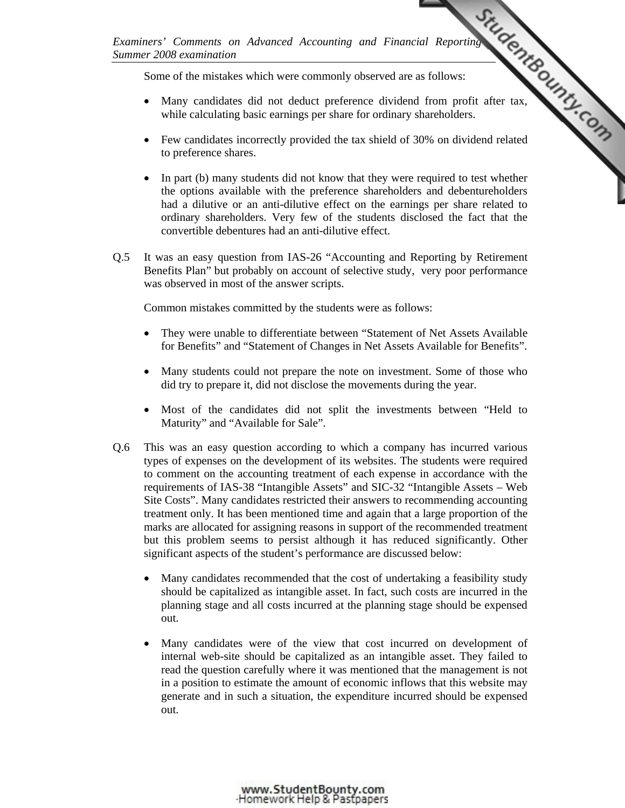Some of the mistakes which were commonly observed are as follows:

- Many candidates did not deduct preference dividend from profit after tax, while calculating basic earnings per share for ordinary shareholders.
- *Examiners' Comments on Advanced Accounting and Financial Reporting*  • Few candidates incorrectly provided the tax shield of 3[0% on dividend related](http://www.studentbounty.com/)  to preference shares.
	- In part (b) many students did not know that they were required to test whether the options available with the preference shareholders and debentureholders had a dilutive or an anti-dilutive effect on the earnings per share related to ordinary shareholders. Very few of the students disclosed the fact that the convertible debentures had an anti-dilutive effect.
- Q.5 It was an easy question from IAS-26 "Accounting and Reporting by Retirement Benefits Plan" but probably on account of selective study, very poor performance was observed in most of the answer scripts.

Common mistakes committed by the students were as follows:

- They were unable to differentiate between "Statement of Net Assets Available for Benefits" and "Statement of Changes in Net Assets Available for Benefits".
- Many students could not prepare the note on investment. Some of those who did try to prepare it, did not disclose the movements during the year.
- Most of the candidates did not split the investments between "Held to Maturity" and "Available for Sale".
- Q.6 This was an easy question according to which a company has incurred various types of expenses on the development of its websites. The students were required to comment on the accounting treatment of each expense in accordance with the requirements of IAS-38 "Intangible Assets" and SIC-32 "Intangible Assets – Web Site Costs". Many candidates restricted their answers to recommending accounting treatment only. It has been mentioned time and again that a large proportion of the marks are allocated for assigning reasons in support of the recommended treatment but this problem seems to persist although it has reduced significantly. Other significant aspects of the student's performance are discussed below:
	- Many candidates recommended that the cost of undertaking a feasibility study should be capitalized as intangible asset. In fact, such costs are incurred in the planning stage and all costs incurred at the planning stage should be expensed out.
	- Many candidates were of the view that cost incurred on development of internal web-site should be capitalized as an intangible asset. They failed to read the question carefully where it was mentioned that the management is not in a position to estimate the amount of economic inflows that this website may generate and in such a situation, the expenditure incurred should be expensed out.

www.StudentBounty.com Homework Help & Pastoapers